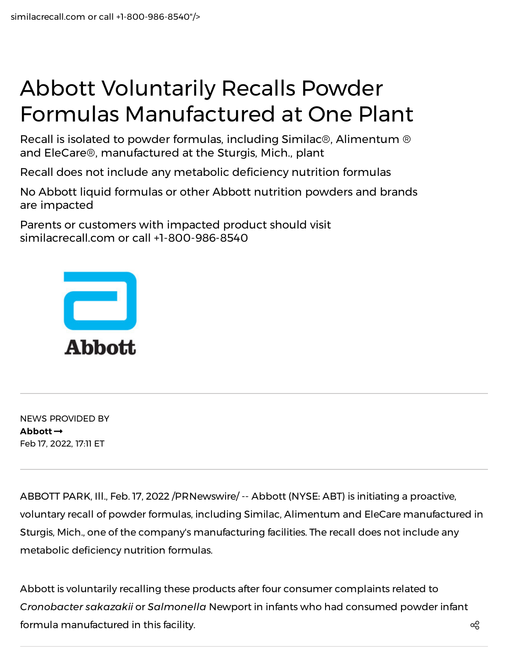## Abbott Voluntarily Recalls Powder Formulas Manufactured at One Plant

Recall is isolated to powder formulas, including Similac®, Alimentum ® and EleCare®, manufactured at the Sturgis, Mich., plant

Recall does not include any metabolic deficiency nutrition formulas

No Abbott liquid formulas or other Abbott nutrition powders and brands are impacted

Parents or customers with impacted product should visit similacrecall.com or call +1-800-986-8540



NEWS PROVIDED BY **[Abbott](https://www.prnewswire.com/news/abbott/)** Feb 17, 2022, 17:11 ET

ABBOTT PARK, Ill., Feb. 17, 2022 /PRNewswire/ -- Abbott (NYSE: ABT) is initiating a proactive, voluntary recall of powder formulas, including Similac, Alimentum and EleCare manufactured in Sturgis, Mich., one of the company's manufacturing facilities. The recall does not include any metabolic deficiency nutrition formulas.

Abbott is voluntarily recalling these products after four consumer complaints related to *Cronobacter sakazakii* or *Salmonella* Newport in infants who had consumed powder infant formula manufactured in this facility.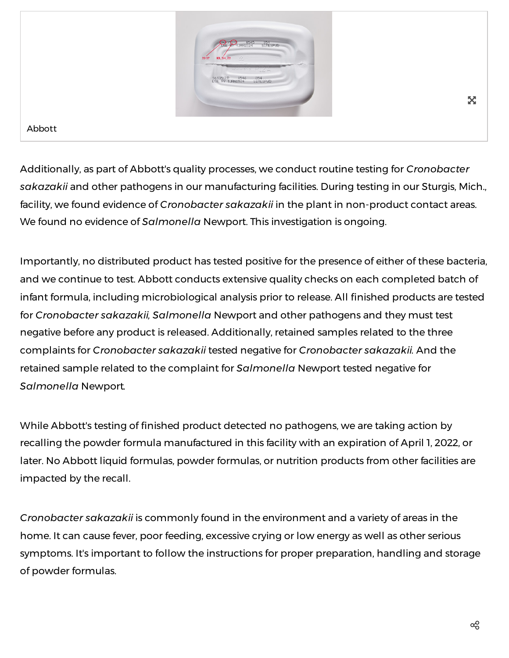

Abbott

Additionally, as part of Abbott's quality processes, we conduct routine testing for *Cronobacter sakazakii* and other pathogens in our manufacturing facilities. During testing in our Sturgis, Mich., facility, we found evidence of *Cronobacter sakazakii* in the plant in non-product contact areas. We found no evidence of *Salmonella* Newport. This investigation is ongoing.

Importantly, no distributed product has tested positive for the presence of either of these bacteria, and we continue to test. Abbott conducts extensive quality checks on each completed batch of infant formula, including microbiological analysis prior to release. All finished products are tested for *Cronobacter sakazakii, Salmonella* Newport and other pathogens and they must test negative before any product is released. Additionally, retained samples related to the three complaints for *Cronobacter sakazakii* tested negative for *Cronobacter sakazakii.* And the retained sample related to the complaint for *Salmonella* Newport tested negative for *Salmonella* Newport*.*

While Abbott's testing of finished product detected no pathogens, we are taking action by recalling the powder formula manufactured in this facility with an expiration of April 1, 2022, or later. No Abbott liquid formulas, powder formulas, or nutrition products from other facilities are impacted by the recall.

*Cronobacter sakazakii* is commonly found in the environment and a variety of areas in the home. It can cause fever, poor feeding, excessive crying or low energy as well as other serious symptoms. It's important to follow the instructions for proper preparation, handling and storage of powder formulas.

X.